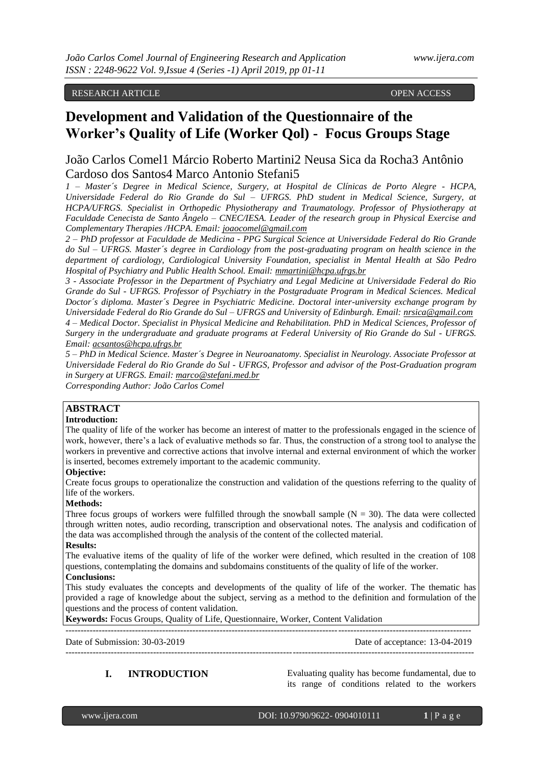# RESEARCH ARTICLE OPEN ACCESS

# **Development and Validation of the Questionnaire of the Worker's Quality of Life (Worker Qol) - Focus Groups Stage**

# João Carlos Comel1 Márcio Roberto Martini2 Neusa Sica da Rocha3 Antônio Cardoso dos Santos4 Marco Antonio Stefani5

*1 – Master´s Degree in Medical Science, Surgery, at Hospital de Clínicas de Porto Alegre - HCPA, Universidade Federal do Rio Grande do Sul – UFRGS. PhD student in Medical Science, Surgery, at HCPA/UFRGS. Specialist in Orthopedic Physiotherapy and Traumatology. Professor of Physiotherapy at Faculdade Cenecista de Santo Ângelo – CNEC/IESA. Leader of the research group in Physical Exercise and Complementary Therapies /HCPA. Email: [joaocomel@gmail.com](mailto:joaocomel@gmail.com)*

*2 – PhD professor at Faculdade de Medicina - PPG Surgical Science at Universidade Federal do Rio Grande do Sul – UFRGS. Master´s degree in Cardiology from the post-graduating program on health science in the department of cardiology, Cardiological University Foundation, specialist in Mental Health at São Pedro Hospital of Psychiatry and Public Health School. Email: [mmartini@hcpa.ufrgs.br](mailto:mmartini@hcpa.ufrgs.br)*

*3 - Associate Professor in the Department of Psychiatry and Legal Medicine at Universidade Federal do Rio Grande do Sul - UFRGS. Professor of Psychiatry in the Postgraduate Program in Medical Sciences. Medical Doctor´s diploma. Master´s Degree in Psychiatric Medicine. Doctoral inter-university exchange program by Universidade Federal do Rio Grande do Sul – UFRGS and University of Edinburgh. Email: [nrsica@gmail.com](mailto:nrsica@gmail.com) 4 – Medical Doctor. Specialist in Physical Medicine and Rehabilitation. PhD in Medical Sciences, Professor of Surgery in the undergraduate and graduate programs at Federal University of Rio Grande do Sul - UFRGS. Email[: acsantos@hcpa.ufrgs.br](mailto:acsantos@hcpa.ufrgs.br)*

*5 – PhD in Medical Science. Master´s Degree in Neuroanatomy. Specialist in Neurology. Associate Professor at Universidade Federal do Rio Grande do Sul - UFRGS, Professor and advisor of the Post-Graduation program in Surgery at UFRGS. Email: [marco@stefani.med.br](mailto:marco@stefani.med.br)*

*Corresponding Author: João Carlos Comel*

# **ABSTRACT**

#### **Introduction:**

The quality of life of the worker has become an interest of matter to the professionals engaged in the science of work, however, there's a lack of evaluative methods so far. Thus, the construction of a strong tool to analyse the workers in preventive and corrective actions that involve internal and external environment of which the worker is inserted, becomes extremely important to the academic community.

#### **Objective:**

Create focus groups to operationalize the construction and validation of the questions referring to the quality of life of the workers.

#### **Methods:**

Three focus groups of workers were fulfilled through the snowball sample  $(N = 30)$ . The data were collected through written notes, audio recording, transcription and observational notes. The analysis and codification of the data was accomplished through the analysis of the content of the collected material.

#### **Results:**

The evaluative items of the quality of life of the worker were defined, which resulted in the creation of 108 questions, contemplating the domains and subdomains constituents of the quality of life of the worker.

# **Conclusions:**

This study evaluates the concepts and developments of the quality of life of the worker. The thematic has provided a rage of knowledge about the subject, serving as a method to the definition and formulation of the questions and the process of content validation.

**Keywords:** Focus Groups, Quality of Life, Questionnaire, Worker, Content Validation

-------------------------------------------------------------------------------------------------------------------------------------- Date of Submission: 30-03-2019 Date of acceptance: 13-04-2019 ---------------------------------------------------------------------------------------------------------------------------------------

**I. INTRODUCTION** Evaluating quality has become fundamental, due to its range of conditions related to the workers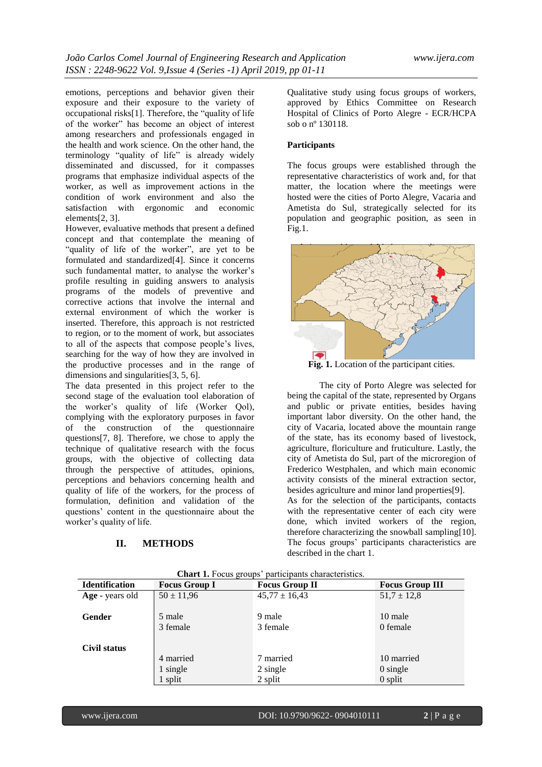emotions, perceptions and behavior given their exposure and their exposure to the variety of occupational risks[1]. Therefore, the "quality of life of the worker" has become an object of interest among researchers and professionals engaged in the health and work science. On the other hand, the terminology "quality of life" is already widely disseminated and discussed, for it compasses programs that emphasize individual aspects of the worker, as well as improvement actions in the condition of work environment and also the satisfaction with ergonomic and economic elements[2, 3].

However, evaluative methods that present a defined concept and that contemplate the meaning of "quality of life of the worker", are yet to be formulated and standardized[4]. Since it concerns such fundamental matter, to analyse the worker's profile resulting in guiding answers to analysis programs of the models of preventive and corrective actions that involve the internal and external environment of which the worker is inserted. Therefore, this approach is not restricted to region, or to the moment of work, but associates to all of the aspects that compose people's lives, searching for the way of how they are involved in the productive processes and in the range of dimensions and singularities[3, 5, 6].

The data presented in this project refer to the second stage of the evaluation tool elaboration of the worker's quality of life (Worker Qol), complying with the exploratory purposes in favor of the construction of the questionnaire questions[7, 8]. Therefore, we chose to apply the technique of qualitative research with the focus groups, with the objective of collecting data through the perspective of attitudes, opinions, perceptions and behaviors concerning health and quality of life of the workers, for the process of formulation, definition and validation of the questions' content in the questionnaire about the worker's quality of life.

# **II. METHODS**

Qualitative study using focus groups of workers, approved by Ethics Committee on Research Hospital of Clinics of Porto Alegre - ECR/HCPA sob o nº 130118.

## **Participants**

The focus groups were established through the representative characteristics of work and, for that matter, the location where the meetings were hosted were the cities of Porto Alegre, Vacaria and Ametista do Sul, strategically selected for its population and geographic position, as seen in Fig.1.



**Fig. 1.** Location of the participant cities.

The city of Porto Alegre was selected for being the capital of the state, represented by Organs and public or private entities, besides having important labor diversity. On the other hand, the city of Vacaria, located above the mountain range of the state, has its economy based of livestock, agriculture, floriculture and fruticulture. Lastly, the city of Ametista do Sul, part of the microregion of Frederico Westphalen, and which main economic activity consists of the mineral extraction sector, besides agriculture and minor land properties[9]. As for the selection of the participants, contacts with the representative center of each city were done, which invited workers of the region,

therefore characterizing the snowball sampling[10]. The focus groups' participants characteristics are described in the chart 1.

| <b>Identification</b> | $\overline{a}$<br><b>Focus Group I</b> | <b>Focus Group II</b> | <b>Focus Group III</b> |
|-----------------------|----------------------------------------|-----------------------|------------------------|
| Age - years old       | $50 \pm 11,96$                         | $45,77 \pm 16,43$     | $51.7 \pm 12.8$        |
|                       |                                        |                       |                        |
| Gender                | 5 male                                 | 9 male                | 10 male                |
|                       | 3 female                               | 3 female              | 0 female               |
|                       |                                        |                       |                        |
| Civil status          |                                        |                       |                        |
|                       | 4 married                              | 7 married             | 10 married             |
|                       | 1 single                               | 2 single              | $0$ single             |
|                       | 1 split                                | 2 split               | $0$ split              |

**Chart 1.** Focus groups' participants characteristics.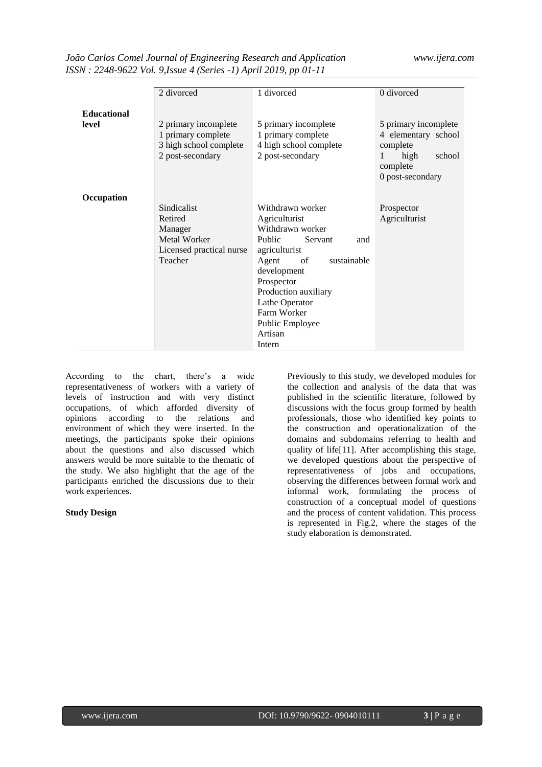| João Carlos Comel Journal of Engineering Research and Application |  |
|-------------------------------------------------------------------|--|
| ISSN: 2248-9622 Vol. 9, Issue 4 (Series -1) April 2019, pp 01-11  |  |

|                    | 2 divorced               | 1 divorced                 | 0 divorced                     |
|--------------------|--------------------------|----------------------------|--------------------------------|
|                    |                          |                            |                                |
| <b>Educational</b> |                          |                            |                                |
| level              | 2 primary incomplete     | 5 primary incomplete       | 5 primary incomplete           |
|                    | 1 primary complete       | 1 primary complete         | 4 elementary school            |
|                    |                          |                            |                                |
|                    | 3 high school complete   | 4 high school complete     | complete                       |
|                    | 2 post-secondary         | 2 post-secondary           | high<br>school<br>$\mathbf{1}$ |
|                    |                          |                            | complete                       |
|                    |                          |                            | 0 post-secondary               |
|                    |                          |                            |                                |
| Occupation         |                          |                            |                                |
|                    | Sindicalist              | Withdrawn worker           | Prospector                     |
|                    | Retired                  | Agriculturist              | Agriculturist                  |
|                    |                          | Withdrawn worker           |                                |
|                    | Manager                  |                            |                                |
|                    | Metal Worker             | Public<br>Servant<br>and   |                                |
|                    | Licensed practical nurse | agriculturist              |                                |
|                    | Teacher                  | Agent<br>sustainable<br>of |                                |
|                    |                          | development                |                                |
|                    |                          | Prospector                 |                                |
|                    |                          | Production auxiliary       |                                |
|                    |                          | Lathe Operator             |                                |
|                    |                          | Farm Worker                |                                |
|                    |                          |                            |                                |
|                    |                          | Public Employee            |                                |
|                    |                          | Artisan                    |                                |
|                    |                          | Intern                     |                                |

According to the chart, there's a wide representativeness of workers with a variety of levels of instruction and with very distinct occupations, of which afforded diversity of opinions according to the relations and environment of which they were inserted. In the meetings, the participants spoke their opinions about the questions and also discussed which answers would be more suitable to the thematic of the study. We also highlight that the age of the participants enriched the discussions due to their work experiences.

# **Study Design**

Previously to this study, we developed modules for the collection and analysis of the data that was published in the scientific literature, followed by discussions with the focus group formed by health professionals, those who identified key points to the construction and operationalization of the domains and subdomains referring to health and quality of life[11]. After accomplishing this stage, we developed questions about the perspective of representativeness of jobs and occupations, observing the differences between formal work and informal work, formulating the process of construction of a conceptual model of questions and the process of content validation. This process is represented in Fig.2, where the stages of the study elaboration is demonstrated.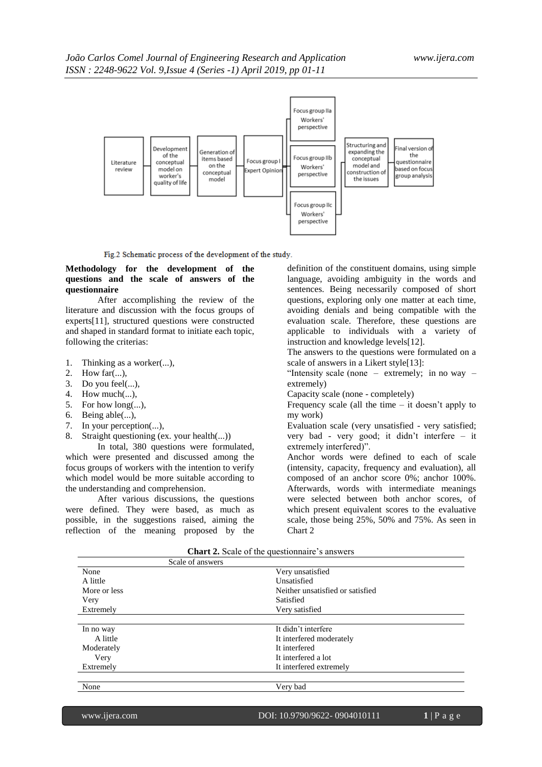

Fig.2 Schematic process of the development of the study.

## **Methodology for the development of the questions and the scale of answers of the questionnaire**

After accomplishing the review of the literature and discussion with the focus groups of experts[11], structured questions were constructed and shaped in standard format to initiate each topic, following the criterias:

- 1. Thinking as a worker(...),
- 2. How far(...),
- 3. Do you feel(...),
- 4. How much(...),
- 5. For how long(...),
- 6. Being able(...),
- 7. In your perception(...),
- 8. Straight questioning (ex. your health(...))

In total, 380 questions were formulated, which were presented and discussed among the focus groups of workers with the intention to verify which model would be more suitable according to the understanding and comprehension.

After various discussions, the questions were defined. They were based, as much as possible, in the suggestions raised, aiming the reflection of the meaning proposed by the definition of the constituent domains, using simple language, avoiding ambiguity in the words and sentences. Being necessarily composed of short questions, exploring only one matter at each time, avoiding denials and being compatible with the evaluation scale. Therefore, these questions are applicable to individuals with a variety of instruction and knowledge levels[12].

The answers to the questions were formulated on a scale of answers in a Likert style<sup>[13]</sup>:

"Intensity scale (none – extremely; in no way – extremely)

Capacity scale (none - completely)

Frequency scale (all the time  $-$  it doesn't apply to my work)

Evaluation scale (very unsatisfied - very satisfied; very bad - very good; it didn't interfere – it extremely interfered)".

Anchor words were defined to each of scale (intensity, capacity, frequency and evaluation), all composed of an anchor score 0%; anchor 100%. Afterwards, words with intermediate meanings were selected between both anchor scores, of which present equivalent scores to the evaluative scale, those being 25%, 50% and 75%. As seen in Chart 2

| $C1$ and $C2$ , scare of the questionitative s answers |                                  |  |  |
|--------------------------------------------------------|----------------------------------|--|--|
| Scale of answers                                       |                                  |  |  |
| None                                                   | Very unsatisfied                 |  |  |
| A little                                               | Unsatisfied                      |  |  |
| More or less                                           | Neither unsatisfied or satisfied |  |  |
| Very                                                   | Satisfied                        |  |  |
| Extremely                                              | Very satisfied                   |  |  |
|                                                        |                                  |  |  |
| In no way                                              | It didn't interfere              |  |  |
| A little                                               | It interfered moderately         |  |  |
| Moderately                                             | It interfered                    |  |  |
| Very                                                   | It interfered a lot              |  |  |
| Extremely                                              | It interfered extremely          |  |  |
| None                                                   |                                  |  |  |
|                                                        | Very bad                         |  |  |

**Chart 2.** Scale of the questionnaire's answers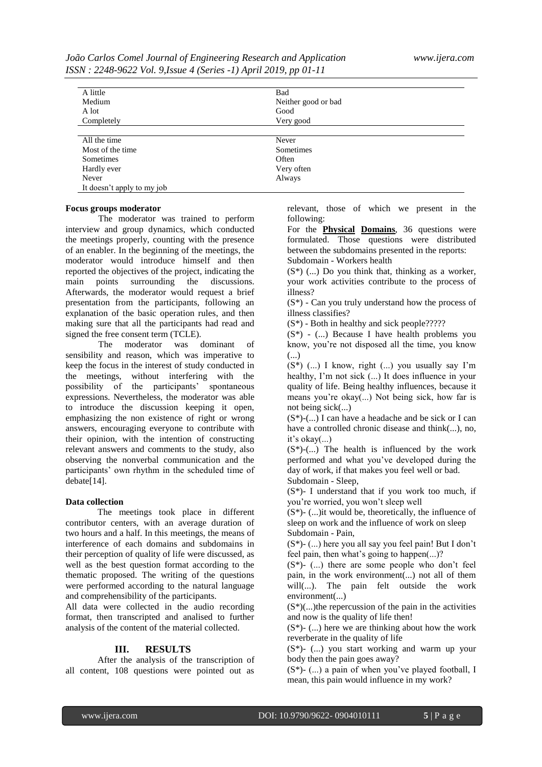| João Carlos Comel Journal of Engineering Research and Application |  |  |
|-------------------------------------------------------------------|--|--|
| ISSN: 2248-9622 Vol. 9, Issue 4 (Series -1) April 2019, pp 01-11  |  |  |

| A little          |                     |  |
|-------------------|---------------------|--|
|                   | Bad                 |  |
| Medium            | Neither good or bad |  |
| A lot             | Good                |  |
| Completely        | Very good           |  |
|                   |                     |  |
| All the time      | Never               |  |
| Most of the time. | Sometimes           |  |
|                   |                     |  |
| Sometimes         | Often               |  |
| Hardly ever       | Very often          |  |
| Never             | Always              |  |

#### **Focus groups moderator**

The moderator was trained to perform interview and group dynamics, which conducted the meetings properly, counting with the presence of an enabler. In the beginning of the meetings, the moderator would introduce himself and then reported the objectives of the project, indicating the main points surrounding the discussions. Afterwards, the moderator would request a brief presentation from the participants, following an explanation of the basic operation rules, and then making sure that all the participants had read and signed the free consent term (TCLE).

The moderator was dominant of sensibility and reason, which was imperative to keep the focus in the interest of study conducted in the meetings, without interfering with the possibility of the participants' spontaneous expressions. Nevertheless, the moderator was able to introduce the discussion keeping it open, emphasizing the non existence of right or wrong answers, encouraging everyone to contribute with their opinion, with the intention of constructing relevant answers and comments to the study, also observing the nonverbal communication and the participants' own rhythm in the scheduled time of debate[14].

#### **Data collection**

The meetings took place in different contributor centers, with an average duration of two hours and a half. In this meetings, the means of interference of each domains and subdomains in their perception of quality of life were discussed, as well as the best question format according to the thematic proposed. The writing of the questions were performed according to the natural language and comprehensibility of the participants.

All data were collected in the audio recording format, then transcripted and analised to further analysis of the content of the material collected.

#### **III. RESULTS**

After the analysis of the transcription of all content, 108 questions were pointed out as

relevant, those of which we present in the following:

For the **Physical Domains**, 36 questions were formulated. Those questions were distributed between the subdomains presented in the reports: Subdomain - Workers health

 $(S^*)$  (...) Do you think that, thinking as a worker, your work activities contribute to the process of illness?

 $(S^*)$  - Can you truly understand how the process of illness classifies?

(S\*) - Both in healthy and sick people?????

 $(S^*)$  -  $(...)$  Because I have health problems you know, you're not disposed all the time, you know (...)

 $(S^*)$  (...) I know, right (...) you usually say I'm healthy, I'm not sick (...) It does influence in your quality of life. Being healthy influences, because it means you're okay(...) Not being sick, how far is not being sick(...)

 $(S^*)$ - $(...)$  I can have a headache and be sick or I can have a controlled chronic disease and think(...), no, it's okay(...)

 $(S^*)$ -(...) The health is influenced by the work performed and what you've developed during the day of work, if that makes you feel well or bad. Subdomain - Sleep,

(S\*)- I understand that if you work too much, if you're worried, you won't sleep well

 $(S^*)$ - (...) it would be, theoretically, the influence of sleep on work and the influence of work on sleep Subdomain - Pain,

(S\*)- (...) here you all say you feel pain! But I don't feel pain, then what's going to happen(...)?

 $(S^*)$ - (...) there are some people who don't feel pain, in the work environment(...) not all of them will(...). The pain felt outside the work environment(...)

 $(S^*)$ (...)the repercussion of the pain in the activities and now is the quality of life then!

 $(S^*)$ - (...) here we are thinking about how the work reverberate in the quality of life

(S\*)- (...) you start working and warm up your body then the pain goes away?

 $(S^*)$ -  $(...)$  a pain of when you've played football, I mean, this pain would influence in my work?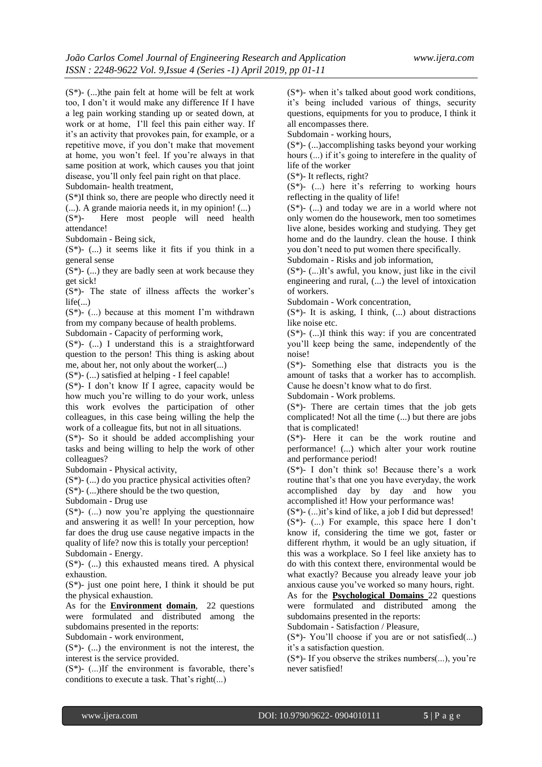$(S^*)$ - (...)the pain felt at home will be felt at work too, I don't it would make any difference If I have a leg pain working standing up or seated down, at work or at home, I'll feel this pain either way. If it's an activity that provokes pain, for example, or a repetitive move, if you don't make that movement at home, you won't feel. If you're always in that same position at work, which causes you that joint disease, you'll only feel pain right on that place. Subdomain- health treatment,

(S\*)I think so, there are people who directly need it (...). A grande maioria needs it, in my opinion! (...)

(S\*)- Here most people will need health attendance!

Subdomain - Being sick,

 $(S^*)$ - (...) it seems like it fits if you think in a general sense

 $(S^*)$ -  $(...)$  they are badly seen at work because they get sick!

 $(S^*)$ - The state of illness affects the worker's  $life(...)$ 

 $(S^*)$ -  $(...)$  because at this moment I'm withdrawn from my company because of health problems.

Subdomain - Capacity of performing work,

(S\*)- (...) I understand this is a straightforward question to the person! This thing is asking about me, about her, not only about the worker(...)

 $(S^*)$ - (...) satisfied at helping - I feel capable!

(S\*)- I don't know If I agree, capacity would be how much you're willing to do your work, unless this work evolves the participation of other colleagues, in this case being willing the help the work of a colleague fits, but not in all situations.

(S\*)- So it should be added accomplishing your tasks and being willing to help the work of other colleagues?

Subdomain - Physical activity,

(S\*)- (...) do you practice physical activities often?  $(S^*)$ - (...) there should be the two question,

Subdomain - Drug use

 $(S^*)$ -  $(...)$  now you're applying the questionnaire and answering it as well! In your perception, how far does the drug use cause negative impacts in the quality of life? now this is totally your perception! Subdomain - Energy.

 $(S^*)$ - (...) this exhausted means tired. A physical exhaustion.

 $(S^*)$ - just one point here, I think it should be put the physical exhaustion.

As for the **Environment domain**, 22 questions were formulated and distributed among the subdomains presented in the reports:

Subdomain - work environment,

 $(S^*)$ - (...) the environment is not the interest, the interest is the service provided.

 $(S^*)$ - (...)If the environment is favorable, there's conditions to execute a task. That's right(...)

(S\*)- when it's talked about good work conditions, it's being included various of things, security questions, equipments for you to produce, I think it all encompasses there.

Subdomain - working hours,

(S\*)- (...)accomplishing tasks beyond your working hours  $(...)$  if it's going to interefere in the quality of life of the worker

(S\*)- It reflects, right?

 $(S^*)$ - (...) here it's referring to working hours reflecting in the quality of life!

 $(S^*)$ -  $(...)$  and today we are in a world where not only women do the housework, men too sometimes live alone, besides working and studying. They get home and do the laundry. clean the house. I think you don't need to put women there specifically.

Subdomain - Risks and job information,

 $(S^*)$ -  $(...)$ It's awful, you know, just like in the civil engineering and rural, (...) the level of intoxication of workers.

Subdomain - Work concentration,

 $(S^*)$ - It is asking, I think,  $(...)$  about distractions like noise etc.

 $(S^*)$ - (...)I think this way: if you are concentrated you'll keep being the same, independently of the noise!

(S\*)- Something else that distracts you is the amount of tasks that a worker has to accomplish. Cause he doesn't know what to do first.

Subdomain - Work problems.

 $(S^*)$ - There are certain times that the job gets complicated! Not all the time (...) but there are jobs that is complicated!

(S\*)- Here it can be the work routine and performance! (...) which alter your work routine and performance period!

(S\*)- I don't think so! Because there's a work routine that's that one you have everyday, the work accomplished day by day and how you accomplished it! How your performance was!

 $(S^*)$ -  $(...)$ it's kind of like, a job I did but depressed!

(S\*)- (...) For example, this space here I don't know if, considering the time we got, faster or different rhythm, it would be an ugly situation, if this was a workplace. So I feel like anxiety has to do with this context there, environmental would be what exactly? Because you already leave your job anxious cause you've worked so many hours, right.

As for the **Psychological Domains** 22 questions were formulated and distributed among the subdomains presented in the reports:

Subdomain - Satisfaction / Pleasure,

 $(S^*)$ - You'll choose if you are or not satisfied(...) it's a satisfaction question.

 $(S^*)$ - If you observe the strikes numbers $(...)$ , you're never satisfied!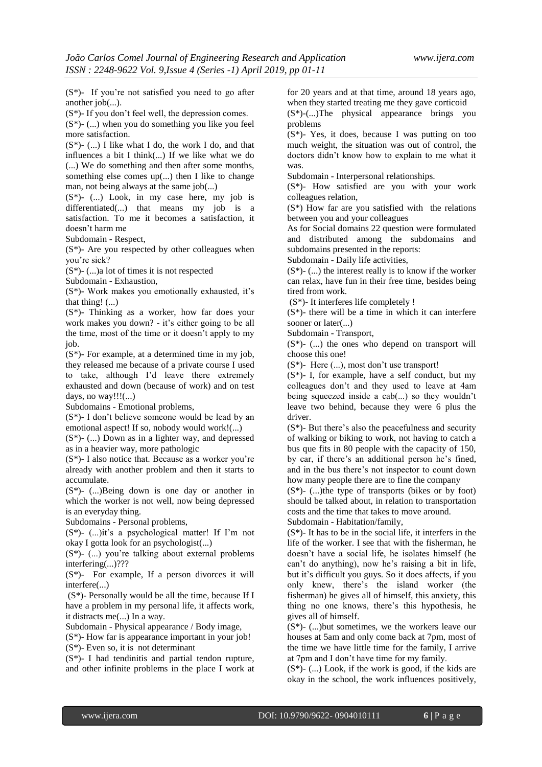(S\*)- If you're not satisfied you need to go after another job(...).

(S\*)- If you don't feel well, the depression comes.  $(S^*)$ - (...) when you do something you like you feel more satisfaction.

 $(S^*)$ - (...) I like what I do, the work I do, and that influences a bit I think(...) If we like what we do (...) We do something and then after some months, something else comes up(...) then I like to change man, not being always at the same job(...)

 $(S^*)$ - (...) Look, in my case here, my job is differentiated(...) that means my job is a satisfaction. To me it becomes a satisfaction, it doesn't harm me

Subdomain - Respect,

 $(S^*)$ - Are you respected by other colleagues when you're sick?

 $(S^*)$ - (...)a lot of times it is not respected

Subdomain - Exhaustion,

(S\*)- Work makes you emotionally exhausted, it's that thing! (...)

(S\*)- Thinking as a worker, how far does your work makes you down? - it's either going to be all the time, most of the time or it doesn't apply to my job.

(S\*)- For example, at a determined time in my job, they released me because of a private course I used to take, although I'd leave there extremely exhausted and down (because of work) and on test days, no way!!! $(...)$ 

Subdomains - Emotional problems,

(S\*)- I don't believe someone would be lead by an emotional aspect! If so, nobody would work!(...)

(S\*)- (...) Down as in a lighter way, and depressed as in a heavier way, more pathologic

(S\*)- I also notice that. Because as a worker you're already with another problem and then it starts to accumulate.

(S\*)- (...)Being down is one day or another in which the worker is not well, now being depressed is an everyday thing.

Subdomains - Personal problems,

(S\*)- (...)it's a psychological matter! If I'm not okay I gotta look for an psychologist(...)

(S\*)- (...) you're talking about external problems interfering(...)???

(S\*)- For example, If a person divorces it will interfere(...)

 $(S^*)$ - Personally would be all the time, because If I have a problem in my personal life, it affects work, it distracts me(...) In a way.

Subdomain - Physical appearance / Body image,

(S\*)- How far is appearance important in your job!

 $(S^*)$ - Even so, it is not determinant

(S\*)- I had tendinitis and partial tendon rupture, and other infinite problems in the place I work at for 20 years and at that time, around 18 years ago, when they started treating me they gave corticoid (S\*)-(...)The physical appearance brings you

problems  $(S^*)$ - Yes, it does, because I was putting on too

much weight, the situation was out of control, the doctors didn't know how to explain to me what it was.

Subdomain - Interpersonal relationships.

(S\*)- How satisfied are you with your work colleagues relation,

 $(S^*)$  How far are you satisfied with the relations between you and your colleagues

As for Social domains 22 question were formulated and distributed among the subdomains and subdomains presented in the reports:

Subdomain - Daily life activities,

 $(S^*)$ -  $(...)$  the interest really is to know if the worker can relax, have fun in their free time, besides being tired from work.

(S\*)- It interferes life completely !

 $(S^*)$ - there will be a time in which it can interfere sooner or later(...)

Subdomain - Transport,

 $(S^*)$ - (...) the ones who depend on transport will choose this one!

 $(S^*)$ - Here  $(...)$ , most don't use transport!

 $(S^*)$ - I, for example, have a self conduct, but my colleagues don't and they used to leave at 4am being squeezed inside a cab(...) so they wouldn't leave two behind, because they were 6 plus the driver.

(S\*)- But there's also the peacefulness and security of walking or biking to work, not having to catch a bus que fits in 80 people with the capacity of 150, by car, if there's an additional person he's fined, and in the bus there's not inspector to count down how many people there are to fine the company

 $(S^*)$ - (...)the type of transports (bikes or by foot) should be talked about, in relation to transportation costs and the time that takes to move around.

Subdomain - Habitation/family,

 $(S^*)$ - It has to be in the social life, it interfers in the life of the worker. I see that with the fisherman, he doesn't have a social life, he isolates himself (he can't do anything), now he's raising a bit in life, but it's difficult you guys. So it does affects, if you only knew, there's the island worker (the fisherman) he gives all of himself, this anxiety, this thing no one knows, there's this hypothesis, he gives all of himself.

 $(S^*)$ - (...) but sometimes, we the workers leave our houses at 5am and only come back at 7pm, most of the time we have little time for the family, I arrive at 7pm and I don't have time for my family.

 $(S^*)$ - (...) Look, if the work is good, if the kids are okay in the school, the work influences positively,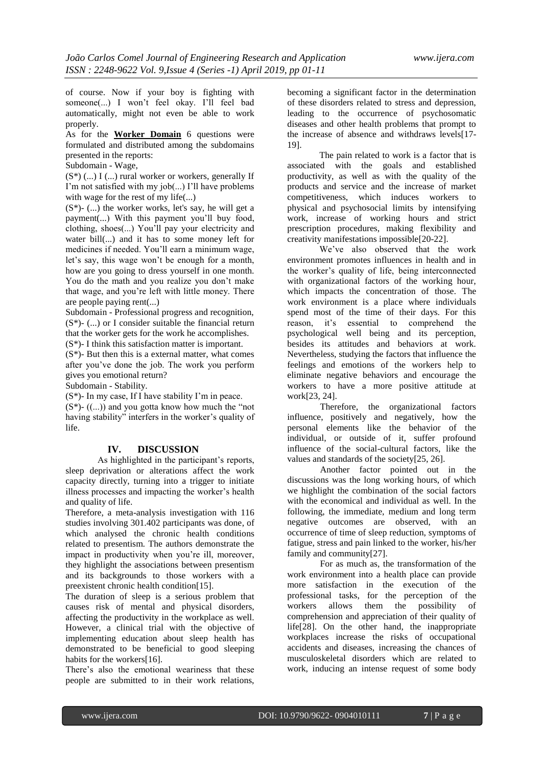of course. Now if your boy is fighting with someone(...) I won't feel okay. I'll feel bad automatically, might not even be able to work properly.

As for the **Worker Domain** 6 questions were formulated and distributed among the subdomains presented in the reports:

Subdomain - Wage,

 $(S^*)$  (...) I (...) rural worker or workers, generally If I'm not satisfied with my job(...) I'll have problems with wage for the rest of my life(...)

 $(S^*)$ - (...) the worker works, let's say, he will get a payment(...) With this payment you'll buy food, clothing, shoes(...) You'll pay your electricity and water bill(...) and it has to some money left for medicines if needed. You'll earn a minimum wage, let's say, this wage won't be enough for a month, how are you going to dress yourself in one month. You do the math and you realize you don't make that wage, and you're left with little money. There are people paying rent(...)

Subdomain - Professional progress and recognition,  $(S^*)$ - (...) or I consider suitable the financial return that the worker gets for the work he accomplishes. (S\*)- I think this satisfaction matter is important.

 $(S^*)$ - But then this is a external matter, what comes

after you've done the job. The work you perform gives you emotional return?

Subdomain - Stability.

 $(S^*)$ - In my case, If I have stability I'm in peace.  $(S^*)$ -  $((\ldots))$  and you gotta know how much the "not" having stability" interfers in the worker's quality of life.

# **IV. DISCUSSION**

As highlighted in the participant's reports, sleep deprivation or alterations affect the work capacity directly, turning into a trigger to initiate illness processes and impacting the worker's health and quality of life.

Therefore, a meta-analysis investigation with 116 studies involving 301.402 participants was done, of which analysed the chronic health conditions related to presentism. The authors demonstrate the impact in productivity when you're ill, moreover, they highlight the associations between presentism and its backgrounds to those workers with a preexistent chronic health condition[15].

The duration of sleep is a serious problem that causes risk of mental and physical disorders, affecting the productivity in the workplace as well. However, a clinical trial with the objective of implementing education about sleep health has demonstrated to be beneficial to good sleeping habits for the workers[16].

There's also the emotional weariness that these people are submitted to in their work relations,

becoming a significant factor in the determination of these disorders related to stress and depression, leading to the occurrence of psychosomatic diseases and other health problems that prompt to the increase of absence and withdraws levels[17- 19].

The pain related to work is a factor that is associated with the goals and established productivity, as well as with the quality of the products and service and the increase of market competitiveness, which induces workers to physical and psychosocial limits by intensifying work, increase of working hours and strict prescription procedures, making flexibility and creativity manifestations impossible[20-22].

We've also observed that the work environment promotes influences in health and in the worker's quality of life, being interconnected with organizational factors of the working hour, which impacts the concentration of those. The work environment is a place where individuals spend most of the time of their days. For this reason, it's essential to comprehend the psychological well being and its perception, besides its attitudes and behaviors at work. Nevertheless, studying the factors that influence the feelings and emotions of the workers help to eliminate negative behaviors and encourage the workers to have a more positive attitude at work[23, 24].

Therefore, the organizational factors influence, positively and negatively, how the personal elements like the behavior of the individual, or outside of it, suffer profound influence of the social-cultural factors, like the values and standards of the society[25, 26].

Another factor pointed out in the discussions was the long working hours, of which we highlight the combination of the social factors with the economical and individual as well. In the following, the immediate, medium and long term negative outcomes are observed, with an occurrence of time of sleep reduction, symptoms of fatigue, stress and pain linked to the worker, his/her family and community[27].

For as much as, the transformation of the work environment into a health place can provide more satisfaction in the execution of the professional tasks, for the perception of the workers allows them the possibility of comprehension and appreciation of their quality of life[28]. On the other hand, the inappropriate workplaces increase the risks of occupational accidents and diseases, increasing the chances of musculoskeletal disorders which are related to work, inducing an intense request of some body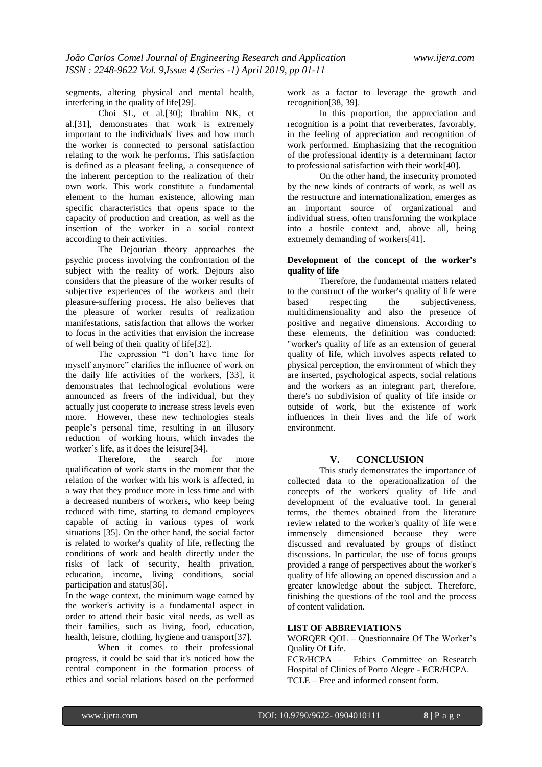segments, altering physical and mental health, interfering in the quality of life[29].

Choi SL, et al.[30]; Ibrahim NK, et al.[31], demonstrates that work is extremely important to the individuals' lives and how much the worker is connected to personal satisfaction relating to the work he performs. This satisfaction is defined as a pleasant feeling, a consequence of the inherent perception to the realization of their own work. This work constitute a fundamental element to the human existence, allowing man specific characteristics that opens space to the capacity of production and creation, as well as the insertion of the worker in a social context according to their activities.

The Dejourian theory approaches the psychic process involving the confrontation of the subject with the reality of work. Dejours also considers that the pleasure of the worker results of subjective experiences of the workers and their pleasure-suffering process. He also believes that the pleasure of worker results of realization manifestations, satisfaction that allows the worker to focus in the activities that envision the increase of well being of their quality of life[32].

The expression "I don't have time for myself anymore" clarifies the influence of work on the daily life activities of the workers, [33], it demonstrates that technological evolutions were announced as freers of the individual, but they actually just cooperate to increase stress levels even more. However, these new technologies steals people's personal time, resulting in an illusory reduction of working hours, which invades the worker's life, as it does the leisure[34].

Therefore, the search for more qualification of work starts in the moment that the relation of the worker with his work is affected, in a way that they produce more in less time and with a decreased numbers of workers, who keep being reduced with time, starting to demand employees capable of acting in various types of work situations [35]. On the other hand, the social factor is related to worker's quality of life, reflecting the conditions of work and health directly under the risks of lack of security, health privation, education, income, living conditions, social participation and status[36].

In the wage context, the minimum wage earned by the worker's activity is a fundamental aspect in order to attend their basic vital needs, as well as their families, such as living, food, education, health, leisure, clothing, hygiene and transport[37].

When it comes to their professional progress, it could be said that it's noticed how the central component in the formation process of ethics and social relations based on the performed work as a factor to leverage the growth and recognition[38, 39].

In this proportion, the appreciation and recognition is a point that reverberates, favorably, in the feeling of appreciation and recognition of work performed. Emphasizing that the recognition of the professional identity is a determinant factor to professional satisfaction with their work[40].

On the other hand, the insecurity promoted by the new kinds of contracts of work, as well as the restructure and internationalization, emerges as an important source of organizational and individual stress, often transforming the workplace into a hostile context and, above all, being extremely demanding of workers[41].

## **Development of the concept of the worker's quality of life**

Therefore, the fundamental matters related to the construct of the worker's quality of life were based respecting the subjectiveness, multidimensionality and also the presence of positive and negative dimensions. According to these elements, the definition was conducted: "worker's quality of life as an extension of general quality of life, which involves aspects related to physical perception, the environment of which they are inserted, psychological aspects, social relations and the workers as an integrant part, therefore, there's no subdivision of quality of life inside or outside of work, but the existence of work influences in their lives and the life of work environment.

# **V. CONCLUSION**

This study demonstrates the importance of collected data to the operationalization of the concepts of the workers' quality of life and development of the evaluative tool. In general terms, the themes obtained from the literature review related to the worker's quality of life were immensely dimensioned because they were discussed and revaluated by groups of distinct discussions. In particular, the use of focus groups provided a range of perspectives about the worker's quality of life allowing an opened discussion and a greater knowledge about the subject. Therefore, finishing the questions of the tool and the process of content validation.

# **LIST OF ABBREVIATIONS**

WORQER QOL – Questionnaire Of The Worker's Quality Of Life.

ECR/HCPA – Ethics Committee on Research Hospital of Clinics of Porto Alegre - ECR/HCPA. TCLE – Free and informed consent form.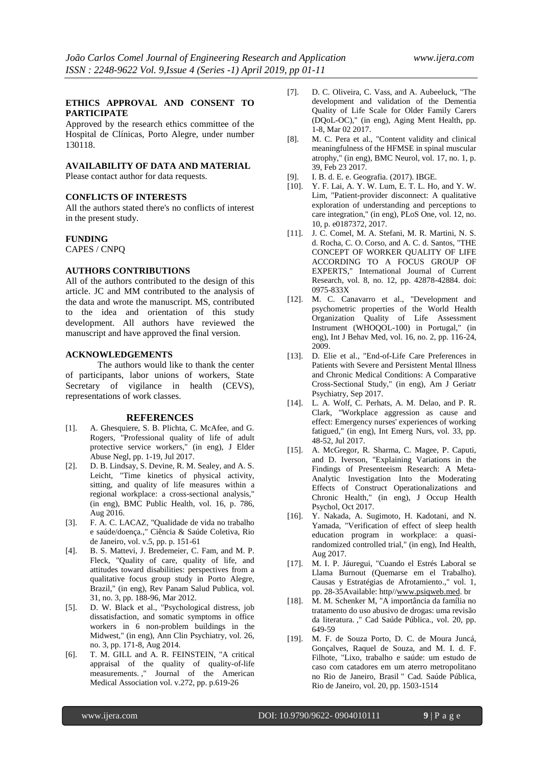#### **ETHICS APPROVAL AND CONSENT TO PARTICIPATE**

Approved by the research ethics committee of the Hospital de Clínicas, Porto Alegre, under number 130118.

#### **AVAILABILITY OF DATA AND MATERIAL**

Please contact author for data requests.

#### **CONFLICTS OF INTERESTS**

All the authors stated there's no conflicts of interest in the present study.

#### **FUNDING**

CAPES / CNPQ

#### **AUTHORS CONTRIBUTIONS**

All of the authors contributed to the design of this article. JC and MM contributed to the analysis of the data and wrote the manuscript. MS, contributed to the idea and orientation of this study development. All authors have reviewed the manuscript and have approved the final version.

#### **ACKNOWLEDGEMENTS**

The authors would like to thank the center of participants, labor unions of workers, State Secretary of vigilance in health (CEVS), representations of work classes.

#### **REFERENCES**

- [1]. A. Ghesquiere, S. B. Plichta, C. McAfee, and G. Rogers, "Professional quality of life of adult protective service workers," (in eng), J Elder Abuse Negl, pp. 1-19, Jul 2017.
- [2]. D. B. Lindsay, S. Devine, R. M. Sealey, and A. S. Leicht, "Time kinetics of physical activity, sitting, and quality of life measures within a regional workplace: a cross-sectional analysis," (in eng), BMC Public Health, vol. 16, p. 786, Aug 2016.
- [3]. F. A. C. LACAZ, "Qualidade de vida no trabalho e saúde/doença.," Ciência & Saúde Coletiva, Rio de Janeiro, vol. v.5, pp. p. 151-61
- [4]. B. S. Mattevi, J. Bredemeier, C. Fam, and M. P. Fleck, "Quality of care, quality of life, and attitudes toward disabilities: perspectives from a qualitative focus group study in Porto Alegre, Brazil," (in eng), Rev Panam Salud Publica, vol. 31, no. 3, pp. 188-96, Mar 2012.
- [5]. D. W. Black et al., "Psychological distress, job dissatisfaction, and somatic symptoms in office workers in 6 non-problem buildings in the Midwest," (in eng), Ann Clin Psychiatry, vol. 26, no. 3, pp. 171-8, Aug 2014.
- [6]. T. M. GILL and A. R. FEINSTEIN, "A critical appraisal of the quality of quality-of-life measurements. ," Journal of the American Medical Association vol. v.272, pp. p.619-26
- [7]. D. C. Oliveira, C. Vass, and A. Aubeeluck, "The development and validation of the Dementia Quality of Life Scale for Older Family Carers (DQoL-OC)," (in eng), Aging Ment Health, pp. 1-8, Mar 02 2017.
- [8]. M. C. Pera et al., "Content validity and clinical meaningfulness of the HFMSE in spinal muscular atrophy," (in eng), BMC Neurol, vol. 17, no. 1, p. 39, Feb 23 2017.
- [9]. I. B. d. E. e. Geografia. (2017). IBGE.
- [10]. Y. F. Lai, A. Y. W. Lum, E. T. L. Ho, and Y. W. Lim, "Patient-provider disconnect: A qualitative exploration of understanding and perceptions to care integration," (in eng), PLoS One, vol. 12, no. 10, p. e0187372, 2017.
- [11]. J. C. Comel, M. A. Stefani, M. R. Martini, N. S. d. Rocha, C. O. Corso, and A. C. d. Santos, "THE CONCEPT OF WORKER QUALITY OF LIFE ACCORDING TO A FOCUS GROUP OF EXPERTS," International Journal of Current Research, vol. 8, no. 12, pp. 42878-42884. doi: 0975-833X
- [12]. M. C. Canavarro et al., "Development and psychometric properties of the World Health Organization Quality of Life Assessment Instrument (WHOQOL-100) in Portugal," (in eng), Int J Behav Med, vol. 16, no. 2, pp. 116-24, 2009.
- [13]. D. Elie et al., "End-of-Life Care Preferences in Patients with Severe and Persistent Mental Illness and Chronic Medical Conditions: A Comparative Cross-Sectional Study," (in eng), Am J Geriatr Psychiatry, Sep 2017.
- [14]. L. A. Wolf, C. Perhats, A. M. Delao, and P. R. Clark, "Workplace aggression as cause and effect: Emergency nurses' experiences of working fatigued," (in eng), Int Emerg Nurs, vol. 33, pp. 48-52, Jul 2017.
- [15]. A. McGregor, R. Sharma, C. Magee, P. Caputi, and D. Iverson, "Explaining Variations in the Findings of Presenteeism Research: A Meta-Analytic Investigation Into the Moderating Effects of Construct Operationalizations and Chronic Health," (in eng), J Occup Health Psychol, Oct 2017.
- [16]. Y. Nakada, A. Sugimoto, H. Kadotani, and N. Yamada, "Verification of effect of sleep health education program in workplace: a quasirandomized controlled trial," (in eng), Ind Health, Aug 2017.
- [17]. M. I. P. Jáuregui, "Cuando el Estrés Laboral se Llama Burnout (Quemarse em el Trabalho). Causas y Estratégias de Afrotamiento.," vol. 1, pp. 28-35Available: http/[/www.psiqweb.med.](../AppData/Local/Packages/Microsoft.MicrosoftEdge_8wekyb3d8bbwe/TempState/Documents/Documents/TESE%20DOUTORADO/TESE%20DOUTORADO/ARTIGO%20GFT%20INGL�S/www.psiqweb.med) br
- [18]. M. M. Schenker M, "A importância da família no tratamento do uso abusivo de drogas: uma revisão da literatura. ," Cad Saúde Pública., vol. 20, pp. 649-59
- [19]. M. F. de Souza Porto, D. C. de Moura Juncá, Gonçalves, Raquel de Souza, and M. I. d. F. Filhote, "Lixo, trabalho e saúde: um estudo de caso com catadores em um aterro metropolitano no Rio de Janeiro, Brasil " Cad. Saúde Pública, Rio de Janeiro, vol. 20, pp. 1503-1514